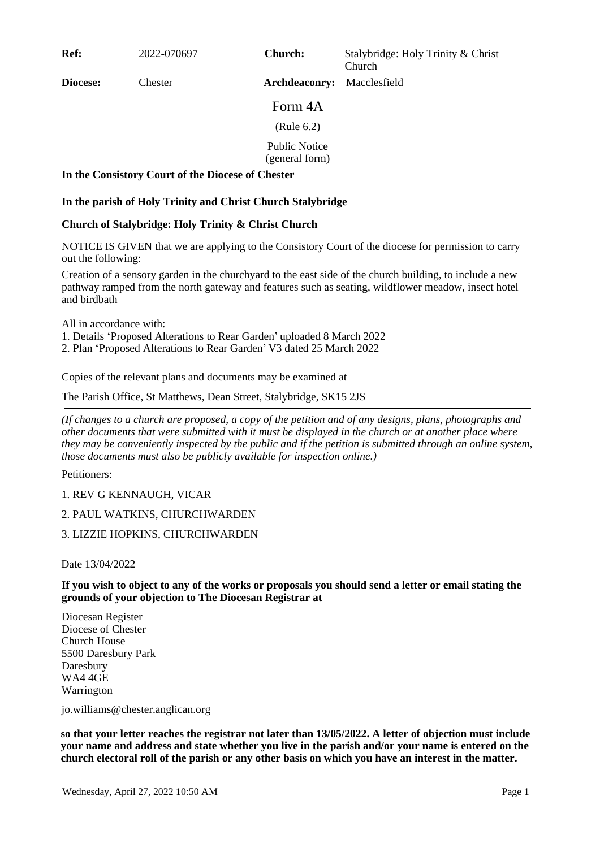**Ref:** 2022-070697

**Church:** Stalybridge: Holy Trinity & Christ Church

**Diocese:** Chester

Form 4A

**Archdeaconry:** Macclesfield

(Rule 6.2)

Public Notice

(general form)

## **In the Consistory Court of the Diocese of Chester**

## **In the parish of Holy Trinity and Christ Church Stalybridge**

## **Church of Stalybridge: Holy Trinity & Christ Church**

NOTICE IS GIVEN that we are applying to the Consistory Court of the diocese for permission to carry out the following:

Creation of a sensory garden in the churchyard to the east side of the church building, to include a new pathway ramped from the north gateway and features such as seating, wildflower meadow, insect hotel and birdbath

All in accordance with:

1. Details 'Proposed Alterations to Rear Garden' uploaded 8 March 2022

2. Plan 'Proposed Alterations to Rear Garden' V3 dated 25 March 2022

Copies of the relevant plans and documents may be examined at

The Parish Office, St Matthews, Dean Street, Stalybridge, SK15 2JS

*(If changes to a church are proposed, a copy of the petition and of any designs, plans, photographs and other documents that were submitted with it must be displayed in the church or at another place where they may be conveniently inspected by the public and if the petition is submitted through an online system, those documents must also be publicly available for inspection online.)*

Petitioners:

1. REV G KENNAUGH, VICAR

2. PAUL WATKINS, CHURCHWARDEN

3. LIZZIE HOPKINS, CHURCHWARDEN

Date 13/04/2022

**If you wish to object to any of the works or proposals you should send a letter or email stating the grounds of your objection to The Diocesan Registrar at**

Diocesan Register Diocese of Chester Church House 5500 Daresbury Park Daresbury WA4 4GE Warrington

jo.williams@chester.anglican.org

**so that your letter reaches the registrar not later than 13/05/2022. A letter of objection must include your name and address and state whether you live in the parish and/or your name is entered on the church electoral roll of the parish or any other basis on which you have an interest in the matter.**